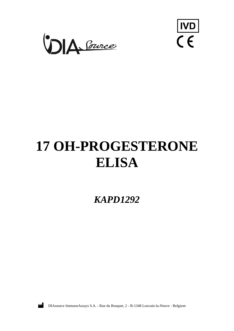



# **17 OH-PROGESTERONE ELISA**

*KAPD1292*



DIAsource ImmunoAssays S.A. - Rue du Bosquet, 2 - B-1348 Louvain-la-Neuve - Belgium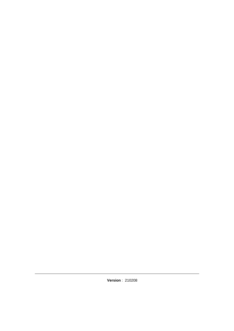**Version** : 210208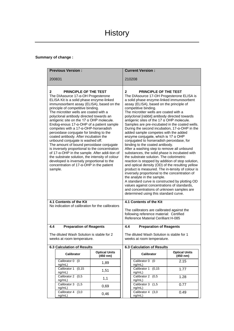# **Summary of change :**

|                                                                                                                                                                                                                                                                                                                                                                                                                                                                                                                                                                                                                                                                                                                                                                                                                                                                                                 | <b>Previous Version:</b>                                                    |                                                                         | <b>Current Version:</b>                                                                                                                                                                                                                                                                                                                                                                                                                                                                                                                                                                                                                                                                                                                                                                                                                                                                                                                                                                                                                                                                                                                                                                                            |                                   |                                  |  |  |
|-------------------------------------------------------------------------------------------------------------------------------------------------------------------------------------------------------------------------------------------------------------------------------------------------------------------------------------------------------------------------------------------------------------------------------------------------------------------------------------------------------------------------------------------------------------------------------------------------------------------------------------------------------------------------------------------------------------------------------------------------------------------------------------------------------------------------------------------------------------------------------------------------|-----------------------------------------------------------------------------|-------------------------------------------------------------------------|--------------------------------------------------------------------------------------------------------------------------------------------------------------------------------------------------------------------------------------------------------------------------------------------------------------------------------------------------------------------------------------------------------------------------------------------------------------------------------------------------------------------------------------------------------------------------------------------------------------------------------------------------------------------------------------------------------------------------------------------------------------------------------------------------------------------------------------------------------------------------------------------------------------------------------------------------------------------------------------------------------------------------------------------------------------------------------------------------------------------------------------------------------------------------------------------------------------------|-----------------------------------|----------------------------------|--|--|
|                                                                                                                                                                                                                                                                                                                                                                                                                                                                                                                                                                                                                                                                                                                                                                                                                                                                                                 | 200831                                                                      |                                                                         |                                                                                                                                                                                                                                                                                                                                                                                                                                                                                                                                                                                                                                                                                                                                                                                                                                                                                                                                                                                                                                                                                                                                                                                                                    | 210208                            |                                  |  |  |
| <b>PRINCIPLE OF THE TEST</b><br>$\mathbf{2}$<br>The DIAsource $17-\alpha$ -OH Progesterone<br>ELISA Kit is a solid phase enzyme-linked<br>immunosorbent assay (ELISA), based on the<br>principle of competitive binding.<br>The microtiter wells are coated with a<br>polyclonal antibody directed towards an<br>antigenic site on the 17 $\alpha$ OHP molecule.<br>Endog-enous $17$ - $\alpha$ -OHP of a patient sample<br>competes with a 17-α-OHP-horseradish<br>peroxidase conjugate for binding to the<br>coated antibody. After incubation the<br>unbound conjugate is washed off.<br>The amount of bound peroxidase conjugate<br>is inversely proportional to the concentration<br>of 17-α-OHP in the sample. After addi-tion of<br>the substrate solution, the intensity of colour<br>developed is inversely proportional to the<br>concentration of 17-α-OHP in the patient<br>sample. |                                                                             |                                                                         | PRINCIPLE OF THE TEST<br>$\mathbf{2}$<br>The DIAsource 17-OH Progesterone ELISA is<br>a solid phase enzyme-linked immunosorbent<br>assay (ELISA), based on the principle of<br>competitive binding.<br>The microtiter wells are coated with a<br>polyclonal [rabbit] antibody directed towards<br>antigenic sites of the 17 $\alpha$ OHP molecule.<br>Samples are pre-incubated in the coated wells.<br>During the second incubation, $17-\alpha$ -OHP in the<br>added sample competes with the added<br>enzyme conjugate, which is 17 $\alpha$ OHP<br>conjugated to horseradish peroxidase, for<br>binding to the coated antibody.<br>After a washing step to remove all unbound<br>substances, the solid phase is incubated with<br>the substrate solution. The colorimetric<br>reaction is stopped by addition of stop solution,<br>and optical density (OD) of the resulting yellow<br>product is measured. The in-tensity of colour is<br>inversely proportional to the concentration of<br>the analyte in the sample.<br>A standard curve is constructed by plotting OD<br>values against concentrations of standards,<br>and concentrations of unknown samples are<br>determined using this standard curve. |                                   |                                  |  |  |
|                                                                                                                                                                                                                                                                                                                                                                                                                                                                                                                                                                                                                                                                                                                                                                                                                                                                                                 | 4.1 Contents of the Kit<br>No indication of calibration for the calibrators |                                                                         | 4.1 Contents of the Kit                                                                                                                                                                                                                                                                                                                                                                                                                                                                                                                                                                                                                                                                                                                                                                                                                                                                                                                                                                                                                                                                                                                                                                                            |                                   |                                  |  |  |
|                                                                                                                                                                                                                                                                                                                                                                                                                                                                                                                                                                                                                                                                                                                                                                                                                                                                                                 |                                                                             |                                                                         | The calibrators are calibrated against the<br>following reference material: Certified<br>Reference Material Cerilliant H-085                                                                                                                                                                                                                                                                                                                                                                                                                                                                                                                                                                                                                                                                                                                                                                                                                                                                                                                                                                                                                                                                                       |                                   |                                  |  |  |
| 4.4                                                                                                                                                                                                                                                                                                                                                                                                                                                                                                                                                                                                                                                                                                                                                                                                                                                                                             | <b>Preparation of Reagents</b>                                              |                                                                         | <b>Preparation of Reagents</b><br>4.4                                                                                                                                                                                                                                                                                                                                                                                                                                                                                                                                                                                                                                                                                                                                                                                                                                                                                                                                                                                                                                                                                                                                                                              |                                   |                                  |  |  |
| The diluted Wash Solution is stable for 2<br>weeks at room temperature.                                                                                                                                                                                                                                                                                                                                                                                                                                                                                                                                                                                                                                                                                                                                                                                                                         |                                                                             | The diluted Wash Solution is stable for 1<br>weeks at room temperature. |                                                                                                                                                                                                                                                                                                                                                                                                                                                                                                                                                                                                                                                                                                                                                                                                                                                                                                                                                                                                                                                                                                                                                                                                                    |                                   |                                  |  |  |
|                                                                                                                                                                                                                                                                                                                                                                                                                                                                                                                                                                                                                                                                                                                                                                                                                                                                                                 | <b>6.3 Calculation of Results</b>                                           |                                                                         |                                                                                                                                                                                                                                                                                                                                                                                                                                                                                                                                                                                                                                                                                                                                                                                                                                                                                                                                                                                                                                                                                                                                                                                                                    | <b>6.3 Calculation of Results</b> |                                  |  |  |
|                                                                                                                                                                                                                                                                                                                                                                                                                                                                                                                                                                                                                                                                                                                                                                                                                                                                                                 | Calibrator                                                                  | <b>Optical Units</b><br>(450 nm)                                        |                                                                                                                                                                                                                                                                                                                                                                                                                                                                                                                                                                                                                                                                                                                                                                                                                                                                                                                                                                                                                                                                                                                                                                                                                    | Calibrator                        | <b>Optical Units</b><br>(450 nm) |  |  |
|                                                                                                                                                                                                                                                                                                                                                                                                                                                                                                                                                                                                                                                                                                                                                                                                                                                                                                 | Calibrator 0 (0<br>ng/mL)                                                   | 1,89                                                                    |                                                                                                                                                                                                                                                                                                                                                                                                                                                                                                                                                                                                                                                                                                                                                                                                                                                                                                                                                                                                                                                                                                                                                                                                                    | Calibrator 0 (0<br>ng/mL)         | 2.15                             |  |  |
|                                                                                                                                                                                                                                                                                                                                                                                                                                                                                                                                                                                                                                                                                                                                                                                                                                                                                                 | Calibrator 1<br>(0, 15)<br>nq/mL                                            | 1,51                                                                    |                                                                                                                                                                                                                                                                                                                                                                                                                                                                                                                                                                                                                                                                                                                                                                                                                                                                                                                                                                                                                                                                                                                                                                                                                    | Calibrator 1<br>(0, 15)<br>ng/mL) | 1.77                             |  |  |
|                                                                                                                                                                                                                                                                                                                                                                                                                                                                                                                                                                                                                                                                                                                                                                                                                                                                                                 | Calibrator 2 (0,5)<br>ng/mL)                                                | 1,1                                                                     |                                                                                                                                                                                                                                                                                                                                                                                                                                                                                                                                                                                                                                                                                                                                                                                                                                                                                                                                                                                                                                                                                                                                                                                                                    | Calibrator 2 (0,5)<br>ng/mL)      | 1.28                             |  |  |
|                                                                                                                                                                                                                                                                                                                                                                                                                                                                                                                                                                                                                                                                                                                                                                                                                                                                                                 | Calibrator 3 (1,5<br>ng/mL)                                                 | 0,69                                                                    |                                                                                                                                                                                                                                                                                                                                                                                                                                                                                                                                                                                                                                                                                                                                                                                                                                                                                                                                                                                                                                                                                                                                                                                                                    | Calibrator 3 (1,5<br>ng/mL)       | 0.77                             |  |  |
|                                                                                                                                                                                                                                                                                                                                                                                                                                                                                                                                                                                                                                                                                                                                                                                                                                                                                                 | Calibrator 4<br>(3,0)<br>ng/mL)                                             | 0,46                                                                    |                                                                                                                                                                                                                                                                                                                                                                                                                                                                                                                                                                                                                                                                                                                                                                                                                                                                                                                                                                                                                                                                                                                                                                                                                    | Calibrator 4<br>(3,0)<br>ng/mL)   | 0.49                             |  |  |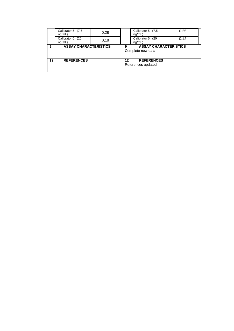|    | Calibrator 5 (7,5)<br>nq/mL    | 0,28 |    | Calibrator 5 (7,5<br>nq/mL                        | 0.25 |
|----|--------------------------------|------|----|---------------------------------------------------|------|
|    | Calibrator 6<br>(20)<br>ng/mL) | 0.18 |    | Calibrator 6 (20<br>ng/mL)                        | 0.12 |
| 9  | <b>ASSAY CHARACTERISTICS</b>   |      | 9  | <b>ASSAY CHARACTERISTICS</b><br>Complete new data |      |
| 12 | <b>REFERENCES</b>              |      | 12 | <b>REFERENCES</b><br>References updated           |      |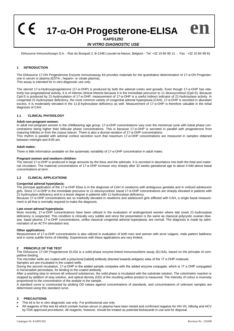**17--OH Progesterone-ELISA**

# **KAPD1292** *IN VITRO DIAGNOSTIC USE*

DIAsource ImmunoAssays S.A. - Rue du Bosquet 2, B-1348 Louvain-la-Neuve, Belgium - Tel: +32 10 84 99 11 - Fax : +32 10 84 99 91

#### **1 INTRODUCTION**

The DIAsource 17-OH Progesterone Enzyme Immunoassay Kit provides materials for the quantitative determination of 17-α-OH Progesterone in serum or plasma (EDTA-, heparin- or citrate plasma).

This assay is intended for in vitro diagnostic use only.

The steroid 17-α-Hydroxyprogesterone (17-α-OHP) is produced by both the adrenal cortex and gonads. Even though 17-α-OHP has relatively low progestational activity, it is of intense clinical interest because it is the immediate precursor to 11-desoxycortisol (Cpd-S). Because Cpd-S is produced by 21-hydroxylation of 17-α-OHP, measurement of 17-α-OHP is a useful indirect indicator of 21-hydroxylase activity. In congenital 21-hydroxylase deficiency, the most common variety of congenital adrenal hyperplasia (CAH), 17-α-OHP is secreted in abundant excess. It is moderately elevated in the 11-β-hydroxylase deficiency as well. Measurement of 17-α-OHP is therefore valuable in the initial diagnosis of CAH.

#### **1.1 CLINICAL PHYSIOLOGY**

# **Adult non-pregnant women:**

In adult non-pregnant women in the childbearing age group, 17-α-OHP concentrations vary over the menstrual cycle with luteal phase concentrations being higher than follicular phase concentrations. This is because 17-α-OHP is secreted in parallel with progesterone from maturing follicles or from the corpus luteum. There is also a diurnal variation of 17-a-OHP concentrations.

This rhythm is parallel with adrenal cortisol secretion such that maximum 17-α-OHP concentrations are measured in samples obtained between midnight and 8:00 am.

#### **Adult males:**

There is little information available on the systematic variability of 17-α-OHP concentration in adult males.

# **Pregnant women and newborn children:**

The steroid 17-α-OHP is produced in large amounts by the fetus and the adrenals. It is secreted in abundance into both the fetal and maternal circulation. The maternal concentrations of 17-α-OHP increase very sharply after 32 weeks gestational age to about 4-fold above basal concentrations at term.

#### **1.2 CLINICAL APPLICATIONS**

#### **Congenital adrenal hyperplasia:**

The principal application of the 17-α-OHP Elisa is in the diagnosis of CAH in newborns with ambiguous genitalia and in virilized adolescent girls. Since 17-α-OHP is the immediate precursor to 11-desoxycortisol, basal 17-α-OHP concentrations are sharply elevated in patients with 21-hydroxylase deficiency and to a lesser degree in patients with 11-hydroxylase deficiency.

Because 17-a-OHP concentrations are so markedly elevated in newborns and adolescent girls afflicted with CAH, a single basal measurement is all that is normally required to make the diagnosis.

#### **Late onset adrenal hyperplasia:**

More recently, 17-α-OHP concentrations have been utilized in the evaluation of androgenized women where late onset 21-hydroxylase deficiency is suspected. This condition is clinically very subtile and since the presentation is the same as classical polycystic ovarian disease, basal plasma 17-α-OHP concentrations, unlike classical congenital adrenal hyperplasia, are normal. The diagnosis is made by administration of an ACTH stimulation test.

#### **Other applications:**

Measurement of 17-α-OHP concentrations is also utilized in evaluation of both men and women with acne vulgaris, male pattern baldness and in some subtile forms of infertility. Experiences with these applications are very limited.

#### **2 PRINCIPLE OF THE TEST**

The DIAsource 17-OH Progesterone ELISA is a solid phase enzyme-linked immunosorbent assay (ELISA), based on the principle of competitive binding.

The microtiter wells are coated with a polyclonal [rabbit] antibody directed towards antigenic sites of the 17 α OHP molecule.

Samples are pre-incubated in the coated wells.

During the second incubation, 17-α-OHP in the added sample competes with the added enzyme conjugate, which is 17 α OHP conjugated to horseradish peroxidase, for binding to the coated antibody.

After a washing step to remove all unbound substances, the solid phase is incubated with the substrate solution. The colorimetric reaction is stopped by addition of stop solution, and optical density (OD) of the resulting yellow product is measured. The intensity of colour is inversely proportional to the concentration of the analyte in the sample.

A standard curve is constructed by plotting OD values against concentrations of standards, and concentrations of unknown samples are determined using this standard curve.

#### **3 PRECAUTIONS**

- This kit is for in vitro diagnostic use only. For professional use only.
- All reagents of this test kit which contain human serum or plasma have been tested and confirmed negative for HIV I/II, HBsAg and HCV by FDA approved procedures. All reagents, however, should be treated as potential biohazards in use and for disposal.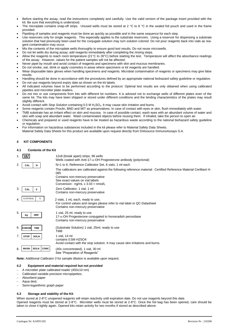- Before starting the assay, read the instructions completely and carefully. Use the valid version of the package insert provided with the kit. Be sure that everything is understood.
- The microplate contains snap-off strips. Unused wells must be stored at 2 °C to 8 °C in the sealed foil pouch and used in the frame provided.
- Pipetting of samples and reagents must be done as quickly as possible and in the same sequence for each step.
- Use reservoirs only for single reagents. This especially applies to the substrate reservoirs. Using a reservoir for dispensing a substrate solution that had previously been used for the conjugate solution may turn solution colored. Do not pour reagents back into vials as reagent contamination may occur.
- Mix the contents of the microplate wells thoroughly to ensure good test results. Do not reuse microwells.
- Do not let wells dry during assay; add reagents immediately after completing the rinsing steps.
- Allow the reagents to reach room temperature (21°C to 26°C) before starting the test. Temperature will affect the absorbance readings of the assay. However, values for the patient samples will not be affected.
- Never pipet by mouth and avoid contact of reagents and specimens with skin and mucous membranes.
- Do not smoke, eat, drink or apply cosmetics in areas where specimens or kit reagents are handled.
- Wear disposable latex gloves when handling specimens and reagents. Microbial contamination of reagents or specimens may give false results.
- Handling should be done in accordance with the procedures defined by an appropriate national biohazard safety guideline or regulation.
- Do not use reagents beyond expiry date as shown on the kit labels.
- All indicated volumes have to be performed according to the protocol. Optimal test results are only obtained when using calibrated pipettes and microtiter plate readers.
- Do not mix or use components from kits with different lot numbers. It is advised not to exchange wells of different plates even of the same lot. The kits may have been shipped or stored under different conditions and the binding characteristics of the plates may result slightly different.
- Avoid contact with *Stop Solution* containing 0.5 M H2SO4. It may cause skin irritation and burns.
- Some reagents contain Proclin, BND and MIT as preservatives. In case of contact with eyes or skin, flush immediately with water.
- TMB substrate has an irritant effect on skin and mucosa. In case of possible contact, wash eyes with an abundant volume of water and skin with soap and abundant water. Wash contaminated objects before reusing them. If inhaled, take the person to open air.
- Chemicals and prepared or used reagents have to be treated as hazardous waste according to the national biohazard safety guideline or regulation.
- For information on hazardous substances included in the kit please refer to Material Safety Data Sheets. Material Safety Data Sheets for this product are available upon request directly from DIAsource ImmunoAssays S.A.

# **4 KIT COMPONENTS**

#### **4.1 Contents of the Kit**

|    |                                 | 12x8 (break apart) strips, 96 wells<br>Wells coated with Anti-17- $\alpha$ -OH Progesterone antibody (polyclonal)   |
|----|---------------------------------|---------------------------------------------------------------------------------------------------------------------|
| 2. | CAL<br>N                        | N=1 to 6, Reference Calibrator Set, 6 vials, 1 ml each                                                              |
|    |                                 | The calibrators are calibrated against the following reference material: Certified Reference Material Cerilliant H- |
|    |                                 | 085<br>Contains non-mercury preservative                                                                            |
|    |                                 | See exact values on vial labels                                                                                     |
|    |                                 | Conversion : $ng/mL \times 3.03 = nmol/L$                                                                           |
| 3. | CAL<br>0                        | Zero Calibrator, 1 vial, 1 ml<br>Contains non-mercury preservative                                                  |
|    |                                 |                                                                                                                     |
| 4. | <b>CONTROL</b><br>N             | 2 vials, 1 mL each, ready to use;                                                                                   |
|    |                                 | For control values and ranges please refer to vial label or QC-Datasheet<br>Contains non-mercury preservative       |
| 5. |                                 | 1 vial, 25 ml, ready to use                                                                                         |
|    | <b>HRP</b><br>Ag                | 17-α-OH Progesterone conjugated to horseradish peroxidase                                                           |
|    |                                 | Contains non-mercury preservative                                                                                   |
| 6. | <b>CHROM</b><br><b>TMB</b>      | (Substrate Solution) 1 vial, 25ml, ready to use                                                                     |
|    |                                 | TMB                                                                                                                 |
| 7. | <b>SOLN</b><br><b>STOP</b>      | 1 vial, 14 ml                                                                                                       |
|    |                                 | contains 0.5M H2SO4<br>Avoid contact with the stop solution. It may cause skin irritations and burns.               |
|    |                                 |                                                                                                                     |
| 8. | $ $ SOLN<br><b>CONC</b><br>WASH | (40x concentrated), 1 vial, 30 ml<br>See "Preparation of Reagents"                                                  |
|    |                                 |                                                                                                                     |

**Note:** Additional *Calibrator 0* for sample dilution is available upon request.

#### **4.2 Equipment and material required but not provided**

- − A microtiter plate calibrated reader (450±10 nm)
- − Calibrated variable precision micropipettes.
- − Absorbent paper
- − Aqua dest.
- − Semi-logarithmic graph paper

#### **4.3 Storage and stability of the Kit**

When stored at 2-8°C unopened reagents will retain reactivity until expiration date. Do not use reagents beyond this date. Opened reagents must be stored at 2-8°C. Microtiter wells must be stored at 2-8°C. Once the foil bag has been opened, care should be taken to close it tightly again. Opened kits retain activity for two months if stored as described above.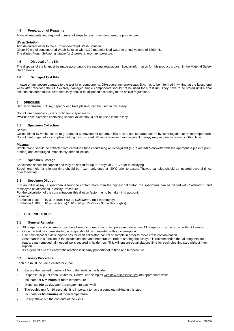#### **4.4 Preparation of Reagents**

Allow all reagents and required number of strips to reach room temperature prior to use.

#### *Wash Solution*

Add deionized water to the 40 x concentrated Wash Solution. Dilute 30 mL of concentrated Wash Solution with 1170 mL deionized water to a final volume of 1200 mL. *The diluted Wash Solution is stable for 1 weeks at room temperature.*

#### **4.5 Disposal of the Kit**

The disposal of the kit must be made according to the national regulations. Special information for this product is given in the Material Safety Data Sheets.

#### **4.6 Damaged Test Kits**

In case of any severe damage to the test kit or components, DIAsource ImmunoAssays S.A. has to be informed in writing, at the latest, one week after receiving the kit. Severely damaged single components should not be used for a test run. They have to be stored until a final solution has been found. After this, they should be disposed according to the official regulations.

#### **5 SPECIMEN**

Serum or plasma (EDTA-, heparin- or citrate plasma) can be used in this assay.

Do not use haemolytic, icteric or lipaemic specimens. **Please note**: Samples containing sodium azide should not be used in the assay.

#### **5.1 Specimen Collection**

#### **Serum:**

Collect blood by venipuncture (e.g. Sarstedt Monovette for serum), allow to clot, and separate serum by centrifugation at room temperature. Do not centrifuge before complete clotting has occurred. Patients receiving anticoagulant therapy may require increased clotting time.

#### **Plasma:**

Whole blood should be collected into centrifuge tubes containing anti-coagulant (e.g. Sarstedt Monovette with the appropriate plasma preparation) and centrifuged immediately after collection.

#### **5.2 Specimen Storage**

Specimens should be capped and may be stored for up to 7 days at 2-8°C prior to assaying.

Specimens held for a longer time should be frozen only once at -20°C prior to assay. Thawed samples should be inverted several times prior to testing.

#### **5.3 Specimen Dilution**

If in an initial assay, a specimen is found to contain more than the highest calibrator, the specimens can be diluted with *Calibrator 0* and reassayed as described in Assay Procedure.

For the calculation of the concentrations this dilution factor has to be taken into account.

Example:<br>a) Dilution 1:10: 10 µL Serum + 90 µL *Calibrator 0* (mix thoroughly)

b) Dilution 1:100: 10 µL dilution a) 1:10 + 90 µL *Calibrator 0* (mix thoroughly).

# **6 TEST PROCEDURE**

#### **6.1 General Remarks**

- − All reagents and specimens must be allowed to come to room temperature before use. All reagents must be mixed without foaming.
- Once the test has been started, all steps should be completed without interruption.
- Use new disposal plastic pipette tips for each calibrator, control or sample in order to avoid cross contamination.
- − Absorbance is a function of the incubation time and temperature. Before starting the assay, it is recommended that all reagents are ready, caps removed, all needed wells secured in holder, etc. This will ensure equal elapsed time for each pipetting step without interruption.
- As a general rule the enzymatic reaction is linearly proportional to time and temperature.

#### **6.2 Assay Procedure**

Each run must include a calibrator curve.

- 1. Secure the desired number of Microtiter wells in the holder.
- 2. Dispense **25 µL** of each *Calibrator, Control* and samples with new disposable tips into appropriate wells.
- 3. Incubate for **5 minutes** at room temperature
- 4. Dispense **200 µL** *Enzyme Conjugate* into each well.
- 5. Thoroughly mix for 10 seconds. It is important to have a complete mixing in this step.
- 6. Incubate for **60 minutes** at room temperature.
- 7. Briskly shake out the contents of the wells.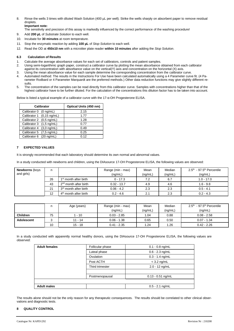8. Rinse the wells 3 times with diluted Wash Solution (400 µL per well). Strike the wells sharply on absorbent paper to remove residual droplets. **Important note:**

The sensitivity and precision of this assay is markedly influenced by the correct performance of the washing procedure!

- 9. Add **200 µL** of *Substrate Solution* to each well.
- 10. Incubate for **30 minutes** at room temperature.
- 11. Stop the enzymatic reaction by adding **100 µL** of *Stop Solution* to each well.
- 12. Read the OD at **450±10 nm** with a microtiter plate reader **within 10 minutes** after adding the *Stop Solution*.

#### **6.3 Calculation of Results**

- 1. Calculate the average absorbance values for each set of calibrators, controls and patient samples.<br>2. Using semi-logarithmic graph paper, construct a calibrator curve by plotting the mean absorbance
- 2. Using semi-logarithmic graph paper, construct a calibrator curve by plotting the mean absorbance obtained from each calibrator against its concentration with absorbance value on the vertical(Y) axis and concentration on the horizontal (X) axis.
- 3. Using the mean absorbance value for each sample determine the corresponding concentration from the calibrator curve.
- 4. Automated method: The results in the Instructions For Use have been calculated automatically using a 4 Parameter curve fit. (4 Parameter Rodbard or 4 Parameter Marquardt are the preferred methods.) Other data reduction functions may give slightly different results.
- 5. The concentration of the samples can be read directly from this calibrator curve. Samples with concentrations higher than that of the highest calibrator have to be further diluted. For the calculation of the concentrations this dilution factor has to be taken into account.

Below is listed a typical example of a calibrator curve with the 17-α-OH Progesterone ELISA.

| <b>Calibrator</b>         | Optical Units (450 nm) |
|---------------------------|------------------------|
| Calibrator 0 (0 ng/mL)    | 2.15                   |
| Calibrator 1 (0,15 ng/mL) | 1.77                   |
| Calibrator 2 (0,5 ng/mL)  | 1.28                   |
| Calibrator 3 (1,5 ng/mL)  | 0.77                   |
| Calibrator 4 (3,0 ng/mL)  | 0.49                   |
| Calibrator 5 (7,5 ng/mL)  | 0.25                   |
| Calibrator 6 (20 ng/mL)   | በ 12                   |

#### **7 EXPECTED VALUES**

It is strongly recommended that each laboratory should determine its own normal and abnormal values.

In a study conducted with newborns and children, using the DIAsource 17-OH Progesterone ELISA, the following values are observed:

| <b>Newborns (boys</b> | n  |                                   | Range (min - max) | Mean    | Median  | $2.5th$ - 97.5 <sup>th</sup> Percentile |
|-----------------------|----|-----------------------------------|-------------------|---------|---------|-----------------------------------------|
| and girls)            |    |                                   | (nq/mL)           | (ng/mL) | (ng/mL) | (nq/mL)                                 |
|                       | 26 | 1 <sup>st</sup> month after birth | $0 - 17.3$        | 7.2     | 6.7     | $1.0 - 17.0$                            |
|                       | 43 | 2 <sup>nd</sup> month after birth | $0.32 - 13.7$     | 4.9     | 4.6     | $1.6 - 9.8$                             |
|                       | 21 | 3 <sup>rd</sup> month after birth | $0.06 - 4.2$      | 2.3     | 2.3     | $0.5 - 4.1$                             |
|                       | 12 | 4 <sup>th</sup> month after birth | $0.2 - 4.6$       | 2.1     | 2.3     | $0.2 - 4.3$                             |

|                 |    | Age (years) | Range (min - max) | Mean    | Median  | $2.5th - 97.5th$ Percentile |
|-----------------|----|-------------|-------------------|---------|---------|-----------------------------|
|                 |    |             | (nq/mL)           | (ng/mL) | (nq/mL) | (nq/mL)                     |
| <b>Children</b> | 75 | $-10$       | $0.03 - 2.85$     | 1.04    | 0.88    | $0.08 - 2.58$               |
| Adolescent      |    | $11 - 14$   | $0.06 - 1.38$     | 0.65    | 0.50    | $0.07 - 1.34$               |
|                 | 10 | $15 - 18$   | $0.41 - 2.35$     | 1.24    | 1.26    | $0.42 - 2.26$               |

In a study conducted with apparently normal healthy donors, using the DIAsource 17-OH Progesterone ELISA, the following values are observed:

| <b>Adult females</b> | Follicular phase | $0.1 - 0.8$ ng/mL   |  |
|----------------------|------------------|---------------------|--|
|                      | Luteal phase     | $0.6 - 2.3$ ng/mL   |  |
|                      | Ovulation        | $0.3 - 1.4$ ng/mL   |  |
|                      | Post ACTH        | $<$ 3.2 ng/mL       |  |
|                      | Third trimester  | $2.0 - 12$ ng/mL    |  |
|                      |                  |                     |  |
|                      | Postmenopausal   | $0.13 - 0.51$ ng/mL |  |
|                      |                  |                     |  |
| <b>Adult males</b>   |                  | $0.5 - 2.1$ ng/mL   |  |

The results alone should not be the only reason for any therapeutic consequences. The results should be correlated to other clinical observations and diagnostic tests.

#### **8 QUALITY CONTROL**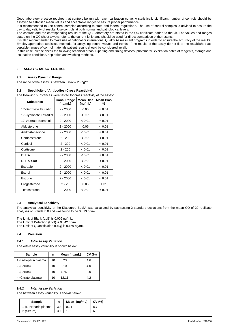Good laboratory practice requires that controls be run with each calibration curve. A statistically significant number of controls should be assayed to establish mean values and acceptable ranges to assure proper performance.

It is recommended to use control samples according to state and federal regulations. The use of control samples is advised to assure the day to day validity of results. Use controls at both normal and pathological levels.

The controls and the corresponding results of the QC-Laboratory are stated in the QC certificate added to the kit. The values and ranges stated on the QC sheet always refer to the current kit lot and should be used for direct comparison of the results.

It is also recommended to make use of national or international Quality Assessment programs in order to ensure the accuracy of the results. Employ appropriate statistical methods for analysing control values and trends. If the results of the assay do not fit to the established acceptable ranges of control materials patient results should be considered invalid.

In this case, please check the following technical areas: Pipetting and timing devices; photometer, expiration dates of reagents, storage and incubation conditions, aspiration and washing methods.

# **9 ASSAY CHARACTERISTICS**

#### **9.1 Assay Dynamic Range**

The range of the assay is between 0.042 – 20 ng/mL.

# **9.2 Specificity of Antibodies (Cross Reactivity)**

| <b>Substance</b>       | Conc. Range<br>(ng/mL) | <b>Mean Bias</b><br>(ng/mL) | <b>Mean Bias</b><br>% |  |
|------------------------|------------------------|-----------------------------|-----------------------|--|
| 17-Benzoate Estradiol  | $2 - 2000$             | 0.05                        | < 0.01                |  |
| 17-Cypionate Estradiol | $2 - 2000$             | < 0.01                      | < 0.01                |  |
| 17-Valerate Estradiol  | $2 - 2000$             | < 0.01                      | < 0.01                |  |
| Aldosterone            | $2 - 2000$             | 0.06                        | < 0.01                |  |
| Androstenedione        | $2 - 2000$             | < 0.01                      | < 0.01                |  |
| Corticosterone         | $2 - 200$              | < 0.01                      | < 0.01                |  |
| Cortisol               | $2 - 200$              | < 0.01                      | < 0.01                |  |
| Cortisone              | $2 - 200$              | < 0.01                      | < 0.01                |  |
| <b>DHEA</b>            | $2 - 2000$             | < 0.01                      | < 0.01                |  |
| DHEA-S(a)              | $2 - 2000$             | < 0.01                      | < 0.01                |  |
| Estradiol              | $2 - 2000$             | < 0.01                      | < 0.01                |  |
| Estriol                | $2 - 2000$             | < 0.01                      | < 0.01                |  |
| Estrone                | $2 - 2000$             | < 0.01                      | < 0.01                |  |
| Progesterone           | $2 - 20$               | 0.05                        | 1.31                  |  |
| Testosterone           | $2 - 2000$             | < 0.01                      | < 0.01                |  |

# **9.3 Analytical Sensitivity**

The analytical sensitivity of the Diasource ELISA was calculated by subtracting 2 standard deviations from the mean OD of 20 replicate analyses of Standard 0 and was found to be 0.013 ng/mL.

The Limit of Blank (LoB) is 0.006 ng/mL. The Limit of Detection (LoD) is 0.042 ng/mL. The Limit of Quantification (LoQ) is 0.156 ng/mL..

#### **9.4 Precision**

# *9.4.1 Intra Assay Variation*

The within assay variability is shown below:

| <b>Sample</b>        | n  | Mean (ng/mL) | CV(%) |
|----------------------|----|--------------|-------|
| 1 (Li-Heparin plasma | 10 | 0.23         | 4.6   |
| 2 (Serum)            | 10 | 2.10         | 4.0   |
| 3 (Serum)            | 10 | 7.74         | 3.0   |
| 4 (Citrate plasma)   | 10 | 12.11        | 4.2   |

# *9.4.2 Inter Assay Variation*

The between assay variability is shown below:

| <b>Sample</b>        |    | Mean (ng/mL) | CV(%) |
|----------------------|----|--------------|-------|
| 1 (Li-Heparin plasma | 30 | 0.21         |       |
| 2 (Serum)            | 30 | 1.99         | 6.3   |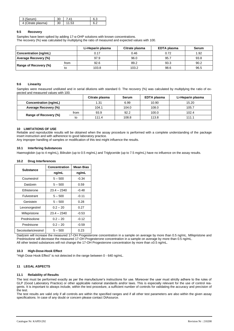|             | $\sim$<br>υc | $\Lambda^*$ |  |
|-------------|--------------|-------------|--|
| ate plasma) | 30           | БS          |  |

# **9.5 Recovery**

Samples have been spiked by adding 17-α-OHP solutions with known concentrations. The recovery (%) was calculated by multiplying the ratio of measured and expected values with 100.

|                             |      | Li-Heparin plasma | Citrate plasma | EDTA plasma | Serum |
|-----------------------------|------|-------------------|----------------|-------------|-------|
| Concentration (ng/mL)       |      | 0.17              | 0.46           | 0.72        | 1.92  |
| <b>Average Recovery (%)</b> |      | 97.9              | 96.0           | 95.7        | 93.8  |
|                             | from | 92.6              | 89.2           | 93.3        | 90.2  |
| Range of Recovery (%)       | to   | 103.8             | 103.2          | 98.6        | 96.5  |

#### **9.6 Linearity**

Samples were measured undiluted and in serial dilutions with standard 0. The recovery (%) was calculated by multiplying the ratio of expected and measured values with 100.

|                       |      | Citrate plasma | Serum | EDTA plasma | Li-Heparin plasma |
|-----------------------|------|----------------|-------|-------------|-------------------|
| Concentration (ng/mL) |      | 1.31           | 6.99  | 10.90       | 15.20             |
| Average Recovery (%)  |      | 104.1          | 104.0 | 108.0       | 105.7             |
|                       | from | 93.9           | 92.2  | 100.0       | 102.4             |
| Range of Recovery (%) | to   | 111.4          | 108.8 | 113.8       | 111.1             |

#### **10 LIMITATIONS OF USE**

Reliable and reproducible results will be obtained when the assay procedure is performed with a complete understanding of the package insert instruction and with adherence to good laboratory practice.

Any improper handling of samples or modification of this test might influence the results.

#### **10.1 Interfering Substances**

Haemoglobin (up to 4 mg/mL), Bilirubin (up to 0.5 mg/mL) and Triglyceride (up to 7.5 mg/mL) have no influence on the assay results.

#### **10.2 Drug Interferences**

| Substance            | Concentration | <b>Mean Bias</b> |
|----------------------|---------------|------------------|
|                      | ng/mL         | ng/mL            |
| Coumestrol           | $5 - 500$     | $-0.34$          |
| Daidzein             | $5 - 500$     | 0.59             |
| Ethisterone          | $23.4 - 2340$ | $-0.48$          |
| Fulvestrant          | $5 - 500$     | $-0.11$          |
| Genistein            | $5 - 500$     | 0.28             |
| Levonorgestrel       | $0.2 - 20$    | 0.27             |
| Mifepristone         | $23.4 - 2340$ | $-0.53$          |
| Prednisolone         | $0.2 - 20$    | $-0.12$          |
| Prednisone           | $0.2 - 20$    | $-0.59$          |
| Secoisolariciresinol | $5 - 500$     | 0.23             |

Daidzein will increase the measured 17-OH Progesterone concentration in a sample on average by more than 0.5 ng/mL. Mifepristone and Prednisolone will decrease the measured 17-OH Progesterone concentration in a sample on average by more than 0.5 ng/mL. All other tested substances will not change the 17-OH Progesterone concentration by more than ±0.5 ng/mL.

# **10.3 High-Dose-Hook Effect**

"High Dose Hook Effect" is not detected in the range between 0 - 640 ng/mL.

#### **11 LEGAL ASPECTS**

#### **11.1 Reliability of Results**

The test must be performed exactly as per the manufacturer's instructions for use. Moreover the user must strictly adhere to the rules of GLP (Good Laboratory Practice) or other applicable national standards and/or laws. This is especially relevant for the use of control reagents. It is important to always include, within the test procedure, a sufficient number of controls for validating the accuracy and precision of the test.

The test results are valid only if all controls are within the specified ranges and if all other test parameters are also within the given assay specifications. In case of any doubt or concern please contact DIAsource.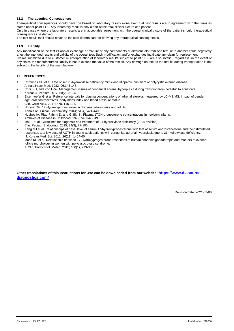# **11.2 Therapeutical Consequences**

Therapeutical consequences should never be based on laboratory results alone even if all test results are in agreement with the items as stated under point 11.1. Any laboratory result is only a part of the total clinical picture of a patient.

Only in cases where the laboratory results are in acceptable agreement with the overall clinical picture of the patient should therapeutical consequences be derived.

The test result itself should never be the sole determinant for deriving any therapeutical consequences.

#### **11.3 Liability**

Any modification of the test kit and/or exchange or mixture of any components of different lots from one test kit to another could negatively affect the intended results and validity of the overall test. Such modification and/or exchanges invalidate any claim for replacement. Claims submitted due to customer misinterpretation of laboratory results subject to point 11.2. are also invalid. Regardless, in the event of any claim, the manufacturer's liability is not to exceed the value of the test kit. Any damage caused to the test kit during transportation is not subject to the liability of the manufacturer.

# **12 REFERENCES**

- 1. Chrousos GP et al. Late onset 21-hydroxylase deficiency mimicking idiopathic hirsutism or polycystic ovarian disease. Annals Intern Med. 1982; 96,143-148.
- 2. Choi J-H, and Yoo H-W. Management issues of congenital adrenal hyperplasia during transition from pediatric to adult care. Korean J. Pediatr. 2017; 60(2), 31-37.
- 3. Eisenhoefer G et al. Reference intervals for plasma concentrations of adrenal steroids measured by LC-MS/MS: Impact of gender, age, oral contraceptives, body mass index and blood pressure status. Clin. Chim Acta. 2017; 470, 115-124.
- 4. Honour JW. 17-Hydroxyprogesterone in children, adolescents and adults.
- Annals of Clinical Biochemistry, 2014; 51(4), 424-440.
- 5. Hughes IA, Riad-Fahmy D, and Griffith K. Plasma 17OH-progesterone concentrations in newborn infants. Archives of Disease in Childhood. 1979; 54, 347-349.
- 6. Ishii T et al. Guidelines for diagnosis and treatment of 21-hydroxylase deficiency (2014 revision).
- Clin. Pediatr. Endocrinol. 2015; 24(3), 77-105.
- 7. Kang MJ et al. Relationships of basal level of serum 17-hydroxyprogesterone with that of serum androstenedione and their stimulated responses to a low dose of ACTH in young adult patients with congenital adrenal hyperplasia due to 21-hydroxylase deficiency. J. Korean Med. Sci. 2011; 26(11), 1454-60.
- 8. Maas KH et al. Relationship between 17-Hydroxyprogesterone responses to human chorionic gonadotropin and markers of ovarian follicle morphology in women with polycystic ovary syndrome. J. Clin. Endocrinol. Metab. 2015; 100(1), 293-300.

# **Other translations of this Instructions for Use can be downloaded from our website: [https://www.diasource](https://www.diasource-diagnostics.com/)[diagnostics.com/](https://www.diasource-diagnostics.com/)**

Revision date: 2021-02-08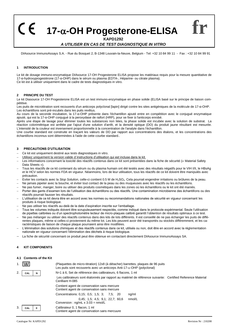**17--OH Progesterone-ELISA**

**KAPD1292**

# *A UTILISER EN CAS DE TEST DIAGNOSTIQUE IN VITRO*

DIAsource ImmunoAssays S.A. - Rue du Bosquet 2, B-1348 Louvain-la-Neuve, Belgium - Tel: +32 10 84 99 11 - Fax : +32 10 84 99 91

# **1 INTRODUCTION**

 $\epsilon$ 

Le kit de dosage immuno-enzymatique DIAsource 17-OH Progesterone ELISA propose les matériaux requis pour la mesure quantitative de 17-α-hydroxyprogestérone (17-α-OHP) dans le sérum ou plasma (EDTA-, Héparine- ou citrate plasma). Ce kit est à utiliser uniquement dans le cadre de tests diagnostiques in vitro.

#### **2 PRINCIPE DU TEST**

Le kit Diasource 17-OH Progesterone ELISA est un test immuno-enzymatique en phase solide (ELISA basé sur le principe de liaison compétitive.

Les puits de microtitration sont recouverts d'un anticorps polyclonal [lapin] dirigé contre les sites antigéniques de la molécule de 17-α-OHP. Les échantillons sont pré-incubés dans les puits revêtus.

Au cours de la seconde incubation, la 17-α-OHP présente dans l'échantillon ajouté entre en compétition avec le conjugué enzymatique ajouté, qui est la 17-α-OHP conjugué à la peroxydase de raifort (HRP), pour se fixer à l'anticorps enrobé.

Après une étape de lavage pour éliminer toutes les substances non liées, la phase solide est incubée avec la solution de substrat. La réaction colorimétrique est arrêtée par l'ajout d'une solution d'arrêt, et la densité optique (DO) du produit jaune résultant est mesurée. L'intensité de la couleur est inversement proportionnelle à la concentration de l'analyte dans l'échantillon.

Une courbe standard est construite en traçant les valeurs de DO par rapport aux concentrations des étalons, et les concentrations des échantillons inconnus sont déterminées à l'aide de cette courbe standard..

#### **3 PRECAUTIONS D'UTILISATION**

- Ce kit est uniquement destiné aux tests diagnostiques in vitro.
- Utilisez uniquement la version valide d'instructions d'utilisation qui est incluse dans le kit.
- Les informations concernant la toxicité des réactifs contenus dans ce kit sont présentées dans la fiche de sécurité (« Material Safety Data Sheets »).
- − Tous les réactifs de ce kit contenant du sérum ou du plasma humain ont été testés avec des résultats négatifs pour le VIH I/II, le HBsAg et le HCV selon les normes FDA en vigueur. Néanmoins, lors de leur utilisation, tous les réactifs de ce kit doivent être manipulés avec précaution.
- − Eviter les contacts avec la *Stop Solution*, celle-ci contient 0.5 M de H2SO4. Cela pourrait engendrer irritations ou brûlures de la peau.
- Ne jamais pipeter avec la bouche, et éviter tout contact de la peau ou des muqueuses avec les réactifs ou les échantillons.
- Ne pas fumer, manger, boire ou utiliser des produits cosmétiques dans les zones où les échantillons ou le kit ont été maniés.
- − Porter des gants d'examen lors de l'utilisation des échantillons ou des réactifs. Une contamination microbienne des échantillons ou des réactifs pourrait fausser les résultats.
- − L'utilisation de ce kit devra être en accord avec les normes ou recommandations nationales de sécurité en vigueur concernant les produits à risque biologique.
- − Ne pas utiliser les réactifs au-delà de la date d'expiration inscrite sur l'emballage.
- − Tous les volumes indiqués doivent être scrupuleusement respectés, comme indiqué dans le protocole expérimental. Seule l'utilisation de pipettes calibrées ou d'un spectrophotomètre lecteur de micro-plaques calibré garantit l'obtention de résultats optimaux à ce test.
- − Ne pas mélanger ou utiliser des réactifs contenus dans des kits de lots différents. Il est conseillé de ne pas échanger les puits de différentes plaques, même si celles-ci proviennent du même lot. Les kits peuvent avoir été transportés ou stockés différemment, et les caractéristiques de liaison de chaque plaque pourraient ainsi être modifiées.
- − L'élimination des solutions chimiques et des réactifs contenus dans ce kit, utilisés ou non, doit être en accord avec la réglementation nationale en vigueur concernant l'élimination des déchets à risque biologique.
- La fiche de sécurité concernant ce produit peut être obtenue en contactant directement DIAsource ImmunoAssays SA.

# **4 KIT COMPONENTS**

#### **4.1 Contents of the Kit**

|    | luu i    | (Plaquettes de micro-titration) 12x8 (à détacher) barrettes, plaques de 96 puits<br>Les puits sont recouverts avec un anticorps Anti-17- $\alpha$ -OHP (polyclonal) |
|----|----------|---------------------------------------------------------------------------------------------------------------------------------------------------------------------|
| 2. | CAL<br>N | N=1 à 6. Set de référence des calibrateurs, 6 flacons, 1 ml                                                                                                         |
|    |          | Les calibrateurs sont étalonnés par rapport au matériel de référence suivante: Certified Reference Material<br>Cerilliant H-085                                     |
|    |          | Contient agent de conservation sans mercure<br>Contient agent de conservation sans mercure                                                                          |
|    |          | Concentrations: 0,15; 0,5; 1,5; 3; 7,5; 20<br>ng/ml                                                                                                                 |
|    |          | $0.45$ ; 1.5; 4.5; 9.1; 22.7; 60.6<br>nmol/L<br>Conversion : $ng/mL \times 3.03 = nmol/L$                                                                           |
| 3  | CAL      | Calibrateur 0, 1 flacon, 1 ml<br>Contient agent de conservation sans mercuure                                                                                       |

**fr**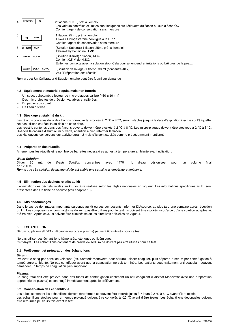

**Remarque:** Un Calibrateur 0 Supplémentaire peut être fourni sur demande

#### **4.2 Equipement et matériel requis, mais non fournis**

- Un spectrophotomètre lecteur de micro-plaques calibré (450 ± 10 nm)
- Des micro-pipettes de précision variables et calibrées.
- − Du papier absorbant.
- De l'eau distillée.

#### **4.3 Stockage et stabilité du kit**

Les réactifs contenus dans des flacons non-ouverts, stockés à 2 °C à 8 °C, seront stables jusqu'à la date d'expiration inscrite sur l'étiquette. Ne pas utiliser les réactifs au-delà de cette date.

Les réactifs contenus dans des flacons ouverts doivent être stockés à 2 °C à 8 °C. Les micro-plaques doivent être stockées à 2 °C à 8 °C. Une fois la capsule d'aluminium ouverte, attention à bien refermer le flacon.

Les kits ouverts conservent leur activité durant 2 mois s'ils sont stockés comme précédemment mentionné.

#### **4.4 Préparation des réactifs**

Amener tous les réactifs et le nombre de barrettes nécessaires au test à température ambiante avant utilisation.

# *Wash Solution*

Diluer 30 mL de *Wash Solution* concentrée avec 1170 mL d'eau désionisée, pour un volume final de 1200 mL.

*Remarque : La solution de lavage diluée est stable une semaine à température ambiante.*

#### **4.5 Elimination des déchets relatifs au kit**

L'élimination des déchets relatifs au kit doit être réalisée selon les règles nationales en vigueur. Les informations spécifiques au kit sont présentées dans la fiche de sécurité (voir chapitre 13).

#### **4.6 Kits endommagés**

Dans le cas de dommages importants survenus au kit ou ses composants, informer DIAsource, au plus tard une semaine après réception du kit. Les composants endommagés ne doivent pas être utilisés pour le test. Ils doivent être stockés jusqu'à ce qu'une solution adaptée ait été trouvée. Après cela, ils doivent être éliminés selon les directives officielles en vigueur.

#### **5 ECHANTILLON**

Sérum ou plasma (EDTA-, Héparine- ou citrate plasma) peuvent être utilisés pour ce test.

Ne pas utiliser des échantillons hémolysés, ictériques ou lipémiques. *Remarque :* Les échantillons contenant de l'azide de sodium ne doivent pas être utilisés pour ce test.

#### **5.1 Prélèvement et préparation des échantillons**

#### **Sérum:**

Prélever le sang par ponction veineuse (ex. Sarstedt Monovette pour sérum), laisser coaguler, puis séparer le sérum par centrifugation à température ambiante. Ne pas centrifuger avant que la coagulation ne soit terminée. Les patients sous traitement anti-coagulant peuvent demander un temps de coagulation plus important.

#### **Plasma:**

Le sang total doit être prélevé dans des tubes de centrifugation contenant un anti-coagulant (Sarstedt Monovette avec une préparation appropriée de plasma) et centrifugé immédiatement après le prélèvement.

#### **5.2 Conservation des échantillons**

Les tubes contenant les échantillons doivent être fermés et peuvent être stockés jusqu'à 7 jours à 2 °C à 8 °C avant d'être testés. Les échantillons stockés pour un temps prolongé doivent être congelés à -20 °C avant d'être testés. Les échantillons décongelés doivent être retournés plusieurs fois avant le test.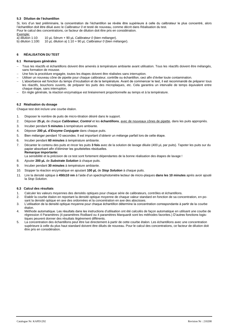#### **5.3 Dilution de l'échantillon**

Si, lors d'un test préliminaire, la concentration de l'échantillon se révèle être supérieure à celle du calibrateur le plus concentré, alors l'échantillon doit être dilué avec le *Calibrateur 0* et testé de nouveau, comme décrit dans Réalisation du test. Pour le calcul des concentrations, ce facteur de dilution doit être pris en considération.

Exemple:<br>a) dilution 1:10:

a) dilution 1:10: 10 µL Sérum + 90 µL *Calibrateur 0* (bien mélanger).<br>b) dilution 1:100: 10 µL dilution a) 1:10 + 90 µL *Calibrateur 0* (bien mé 10  $\mu$ L dilution a) 1:10 + 90  $\mu$ L *Calibrateur 0* (bien mélanger).

# **6 RÉALISATION DU TEST**

#### **6.1 Remarques générales**

- − Tous les réactifs et échantillons doivent être amenés à température ambiante avant utilisation. Tous les réactifs doivent être mélangés, sans formation de mousse.
- Une fois la procédure engagée, toutes les étapes doivent être réalisées sans interruption.
- − Utiliser un nouveau cône de pipette pour chaque calibrateur, contrôle ou échantillon, ceci afin d'éviter toute contamination.
- − L'absorbance est fonction du temps d'incubation et de la température. Avant de commencer le test, il est recommandé de préparer tous les réactifs, bouchons ouverts, de préparer les puits des microplaques, etc. Cela garantira un intervalle de temps équivalent entre chaque étape, sans interruption.
- − En règle générale, la réaction enzymatique est linéairement proportionnelle au temps et à la température.

#### **6.2 Réalisation du dosage**

Chaque test doit inclure une courbe étalon.

- 1. Disposer le nombre de puits de micro-titration désiré dans le support.
- 2. Déposer **25 µL** de chaque *Calibrateur, Control* et les **échantillons**, avec de nouveaux cônes de pipette, dans les puits appropriés.
- 3. Incuber pendant **5 minutes** à température ambiante.
- 4. Déposer **200 µL d'***Enzyme Conjugate* dans chaque puits.
- 5. Bien mélanger pendant 10 secondes. Il est important d'obtenir un mélange parfait lors de cette étape.
- 6. Incuber pendant **60 minutes** à température ambiante.
- 7. Décanter le contenu des puits et rincer les puits **3 fois** avec de la solution de lavage diluée (400 µL par puits). Tapoter les puits sur du papier absorbant afin d'éliminer les gouttelettes résiduelles. **Remarque importante:**

La sensibilité et la précision de ce test sont fortement dépendantes de la bonne réalisation des étapes de lavage !

- 8. Ajouter **200 µL** de *Substrate Solution* à chaque puits.
- 9. Incuber pendant **30 minutes** à température ambiante.
- 10. Stopper la réaction enzymatique en ajoutant **100 µL** de *Stop Solution* à chaque puits.
- 11. Lire la densité optique à **450±10 nm** à l'aide d'un spectrophotomètre lecteur de micro-plaques **dans les 10 minutes** après avoir ajouté la *Stop Solution*.

#### **6.3 Calcul des résultats**

- 1. Calculer les valeurs moyennes des densités optiques pour chaque série de calibrateurs, contrôles et échantillons.
- 2. Etablir la courbe étalon en reportant la densité optique moyenne de chaque valeur standard en fonction de sa concentration, en posant la densité optique en axe des ordonnées et la concentration en axe des abscisses.
- 3. L'utilisation de la densité optique moyenne pour chaque échantillon détermine la concentration correspondante à partir de la courbe étalon.
- 4. Méthode automatique. Les résultats dans les instructions d'utilisation ont été calculés de façon automatique en utilisant une courbe de régression 4 Paramètres (4 paramètres Rodbard ou 4 paramètres Marquardt sont les méthodes favorites.) D'autres fonctions logistiques peuvent donner des résultats légèrement différents.
- 5. La concentration des échantillons peut être lue directement à partir de cette courbe étalon. Les échantillons avec une concentration supérieure à celle du plus haut standard doivent être dilués de nouveau. Pour le calcul des concentrations, ce facteur de dilution doit être pris en considération.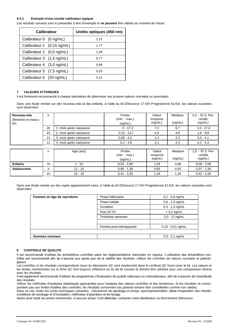#### *6.3.1 Exemple d'une courbe calibrateur typique*

Les résultats suivants sont ici présentés à titre d'exemple et **ne peuvent** être utilisés au moment de l'essai.

| <b>Calibrateur</b>        |                            | Unités optiques (450 nm) |
|---------------------------|----------------------------|--------------------------|
| Calibrateur 0 (0 ng/mL)   |                            | 2,15                     |
|                           | Calibrateur 1 (0,15 ng/mL) | 1.77                     |
| Calibrateur 2 (0,5 ng/mL) |                            | 1,28                     |
| Calibrateur 3 (1,5 ng/mL) |                            | 0.77                     |
| Calibrateur 4 (3,0 ng/mL) |                            | 0.49                     |
| Calibrateur 5 (7,5 ng/mL) |                            | 0.25                     |
| Calibrateur 6 (20 ng/mL)  |                            | 0.12                     |

#### **7 VALEURS ATTENDUES**

Il est fortement recommandé à chaque laboratoire de déterminer ses propres valeurs normales ou anormales.

Dans une étude menée sur des nouveau-nés et des enfants, à l'aide du kit DIAsource 17-OH Progesterone ELISA, les valeurs suivantes sont observées:

| Nouveau-nés<br>(féminine et mascu-<br>lin) | n  |                         | Portée<br>$(min - max.)$<br>(nq/mL) | Valeur<br>moyenne<br>(ng/mL) | Médiane<br>(ng/mL) | 2,5. - 97,5. Per-<br>centile<br>(ng/mL) |
|--------------------------------------------|----|-------------------------|-------------------------------------|------------------------------|--------------------|-----------------------------------------|
|                                            | 26 | 1. mois après naissance | $0 - 17,3$                          | 7,2                          | 6,7                | $1,0 - 17,0$                            |
|                                            | 43 | 2. mois après naissance | $0,32 - 13,7$                       | 4,9                          | 4,6                | $1,6 - 9,8$                             |
|                                            | 21 | 3. mois après naissance | $0.06 - 4.2$                        | 2,3                          | 2,3                | $0.5 - 4.1$                             |
|                                            | 12 | 4. mois après naissance | $0.2 - 4.6$                         | 2,1                          | 2,3                | $0.2 - 4.3$                             |
|                                            |    |                         |                                     |                              |                    |                                         |
|                                            | n  | Age (ans)               | Portée<br>$(min - max.)$<br>(nq/mL) | Valeur<br>moyenne<br>(ng/mL) | Médiane<br>(ng/mL) | 2,5. - 97,5. Per-<br>centile<br>(ng/mL) |

Dans une étude menée sur des sujets apparemment sains, à l'aide du kit DIAsource 17-OH Progesterone ELISA, les valeurs suivantes sont observées:

10 | 15 - 18 | 0,41 - 2,35 | 1,24 | 1,26 | 0,42 - 2,26

**Enfants** | 75 | 1 - 10 0,03 - 2,85 | 1,04 | 0,88 | 0,08 - 2,58 **Adolescents** | 3 | 11 - 14 0,06 - 1,38 | 0,50 0,07 - 1,34

| Femmes en âge de reproduire | Phase folliculaire    | $0,1 - 0,8$ ng/mL   |
|-----------------------------|-----------------------|---------------------|
|                             | Phase lutéale         | $0,6 - 2,3$ ng/mL   |
|                             | Ovulation             | $0,3 - 1,4$ ng/mL   |
|                             | Post ACTH             | $<$ 3,2 ng/mL       |
|                             | Troisième semestre    | $2,0 - 12$ ng/mL    |
|                             |                       |                     |
|                             | Femme post-ménopausée | $0,13 - 0,51$ ng/mL |
|                             |                       |                     |
| <b>Hommes normaux</b>       |                       | $0,5 - 2,1$ ng/mL   |

#### **8 CONTROLE DE QUALITE**

Il est recommandé d'utiliser les échantillons contrôles selon les réglementations nationales en vigueur. L'utilisation des échantillons contrôles est recommandé afin de s'assurer jour après jour de la validité des résultats. Utiliser les contrôles de valeurs normales et pathologiques.

Les contrôles et les résultats correspondants issus du laboratoire QC sont mentionnés dans le certificat QC fourni avec le kit. Les valeurs et les limites mentionnées sur la fiche QC font toujours référence au lot de kit courant et doivent être utilisées pour une comparaison directe avec les résultats.

Il est également recommandé d'utiliser les programmes d'évaluation de qualité nationaux ou internationaux, afin de s'assurer de l'exactitude des résultats.

Utiliser les méthodes d'analyses statistiques appropriées pour l'analyse des valeurs contrôles et des tendances. Si les résultats ne correspondent pas aux limites établies des contrôles, les résultats concernant ces patients doivent être considérées comme non valides.

Dans ce cas, tester les zones techniques suivantes : mécanisme de pipettage et temps; spectrophotomètre, dates d'expiration des réactifs, conditions de stockage et d'incubation, méthodes d'aspiration et de lavage.

Après avoir testé les points mentionnés, si aucune erreur n'est détectée, contacter votre distributeur ou directement DIAsource.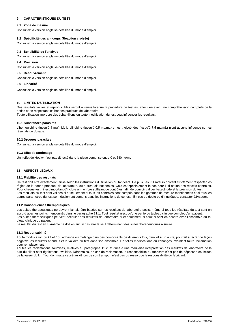# **9 CARACTERISTIQUES DU TEST**

#### **9.1 Zone de mesure**

Consultez la version anglaise détaillée du mode d'emploi.

#### **9.2 Spécificité des anticorps (Réaction croisée)**

Consultez la version anglaise détaillée du mode d'emploi.

#### **9.3 Sensibilité de l'analyse**

Consultez la version anglaise détaillée du mode d'emploi.

#### **9.4 Précision**

Consultez la version anglaise détaillée du mode d'emploi.

#### **9.5 Recouvrement**

Consultez la version anglaise détaillée du mode d'emploi.

# **9.6 Linéarité**

Consultez la version anglaise détaillée du mode d'emploi.

#### **10 LIMITES D'UTILISATION**

Des résultats fiables et reproductibles seront obtenus lorsque la procédure de test est effectuée avec une compréhension complète de la notice et en respectant les bonnes pratiques de laboratoire.

Toute utilisation impropre des échantillons ou toute modification du test peut influencer les résultats.

#### **10.1 Substances parasites**

L'hémoglobine (jusqu'à 4 mg/mL), la bilirubine (jusqu'à 0.5 mg/mL) et les triglycérides (jusqu'à 7,5 mg/mL) n'ont aucune influence sur les résultats du dosage.

#### **10.2 Drogues parasites**

Consultez la version anglaise détaillée du mode d'emploi.

#### **10.3 Effet de surdosage**

Un «effet de Hook» n'est pas détecté dans la plage comprise entre 0 et 640 ng/mL.

#### **11 ASPECTS LEGAUX**

#### **11.1 Fiabilité des résultats**

Ce test doit être exactement utilisé selon les instructions d'utilisation du fabricant. De plus, les utilisateurs doivent strictement respecter les règles de la bonne pratique de laboratoire, ou autres lois nationales. Cela est spécialement le cas pour l'utilisation des réactifs contrôles. Pour chaque test, il est important d'inclure un nombre suffisant de contrôles, afin de pouvoir valider l'exactitude et la précision du test. Les résultats du test sont valides si et seulement si tous les contrôles sont compris dans les gammes de mesure mentionnées et si tous les autres paramètres du test sont également compris dans les instructions de ce test. En cas de doute ou d'inquiétude, contacter DIAsource.

#### **11.2 Conséquences thérapeutiques**

Les suites thérapeutiques ne devront jamais être basées sur les résultats de laboratoire seuls, même si tous les résultats du test sont en accord avec les points mentionnés dans le paragraphe 11.1. Tout résultat n'est qu'une partie du tableau clinique complet d'un patient. Les suites thérapeutiques peuvent découler des résultats de laboratoire si et seulement si ceux-ci sont en accord avec l'ensemble du tableau clinique du patient.

Le résultat du test en lui-même ne doit en aucun cas être le seul déterminant des suites thérapeutiques à suivre.

#### **11.3 Responsabilité**

Toute modification du kit et / ou échange ou mélange d'un des composants de différents lots, d'un kit à un autre, pourrait affecter de façon négative les résultats attendus et la validité du test dans son ensemble. De telles modifications ou échanges invalident toute réclamation pour remplacement.

Toutes les réclamations soumises, relatives au paragraphe 11.2, et dues à une mauvaise interprétation des résultats de laboratoire de la part du client sont également invalides. Néanmoins, en cas de réclamation, la responsabilité du fabricant n'est pas de dépasser les limites de la valeur du kit. Tout dommage causé au kit lors de son transport n'est pas du ressort de la responsabilité du fabricant.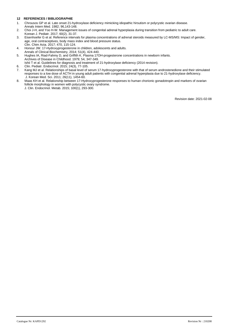# **12 REFERENCES / BIBLIOGRAPHIE**

- 1. Chrousos GP et al. Late onset 21-hydroxylase deficiency mimicking idiopathic hirsutism or polycystic ovarian disease. Annals Intern Med. 1982; 96,143-148.
- 2. Choi J-H, and Yoo H-W. Management issues of congenital adrenal hyperplasia during transition from pediatric to adult care. Korean J. Pediatr. 2017; 60(2), 31-37.
- 3. Eisenhoefer G et al. Reference intervals for plasma concentrations of adrenal steroids measured by LC-MS/MS: Impact of gender, age, oral contraceptives, body mass index and blood pressure status. Clin. Chim Acta. 2017; 470, 115-124.
- 4. Honour JW. 17-Hydroxyprogesterone in children, adolescents and adults. Annals of Clinical Biochemistry, 2014; 51(4), 424-440.
- 5. Hughes IA, Riad-Fahmy D, and Griffith K. Plasma 17OH-progesterone concentrations in newborn infants. Archives of Disease in Childhood. 1979; 54, 347-349.
- Ishii T et al. Guidelines for diagnosis and treatment of 21-hydroxylase deficiency (2014 revision).
- 6. Clin. Pediatr. Endocrinol. 2015; 24(3), 77-105.
- 7. Kang MJ et al. Relationships of basal level of serum 17-hydroxyprogesterone with that of serum androstenedione and their stimulated responses to a low dose of ACTH in young adult patients with congenital adrenal hyperplasia due to 21-hydroxylase deficiency. J. Korean Med. Sci. 2011; 26(11), 1454-60.
- 8. Maas KH et al. Relationship between 17-Hydroxyprogesterone responses to human chorionic gonadotropin and markers of ovarian follicle morphology in women with polycystic ovary syndrome.

J. Clin. Endocrinol. Metab. 2015; 100(1), 293-300.

Revision date: 2021-02-08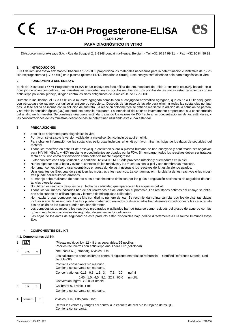**17--OH Progesterone-ELISA**

**es**

# **KAPD1292 PARA DIAGNÓSTICO IN VITRO**

DIAsource ImmunoAssays S.A. - Rue du Bosquet 2, B-1348 Louvain-la-Neuve, Belgium - Tel: +32 10 84 99 11 - Fax : +32 10 84 99 91

# **1 INTRODUCCIÓN**

El Kit de inmunoensayo enzimático DIAsource 17-α-OHP proporciona los materiales necesarios para la determinación cuantitativa del 17-α-Hidroxiprogesterona (17-α-OHP) en o plasma (plasma EDTA, heparina o citrato). Este ensayo está diseñado solo para diagnóstico in vitro.

# **2 FUNDAMENTO DEL ENSAYO**

El kit de Diasource 17-OH Progesterone ELISA es un ensayo en fase sólida de inmunoadsorción unido a enzimas (ELISA), basado en el principio de unión competitiva. Las muestras se preincuban en los pocillos recubiertos. Los pocillos de las placas están recubiertos con un anticuerpo policlonal [conejo] dirigido contra los sitios antigénicos de la molécula de 17-α-OHP.

Durante la incubación, el 17-α-OHP en la muestra agregada compite con el conjugado enzimático agregado, que es 17 α OHP conjugado con peroxidasa de rábano, por unirse al anticuerpo recubierto. Después de un paso de lavado para eliminar todas las sustancias no ligadas, la fase sólida se incuba con la solución de sustrato. La reacción colorimétrica se detiene mediante la adición de la solución de parada, y se mide la densidad óptica (OD) del producto amarillo resultante. La intensidad del color es inversamente proporcional a la concentración del analito en la muestra. Se construye una curva estándar trazando los valores de DO frente a las concentraciones de los estándares, y las concentraciones de las muestras desconocidas se determinan utilizando esta curva estándar.

# **3 PRECAUCIONES**

- Este kit es solamente para diagnóstico in vitro.
- Por favor, se usa solo la version valida de la metodico técnico incluido aqui en el kit.
- Para obtener información de las sustancias peligrosas incluidas en el kit por favor mirar las hojas de los datos de seguridad del material.
- Todos los reactivos en este kit de ensayo que contienen suero o plasma humano se han ensayado y confirmado ser negativos para HIV I/II, HBsAg y HCV mediante procedimientos aprobados por la FDA. Sin embargo, todos los reactivos deben ser tratados tanto en su uso como dispensación como potencialmente biopeligrosos.
- Evitar contacto con Stop Solution que contiene H2SO4 0,5 M. Puede provocar irritación y quemaduras en la piel.
- Nunca pipetear con la boca y evitar el contacto de los reactivos y las muestras con la piel y con membranas mucosas.
- No fumar, comer, beber o usar cosméticos en áreas donde las muestras o los reactivos del kit están siendo usados.
- Usar guantes de látex cuando se utilicen las muestras y los reactivos. La contaminación microbiana de los reactivos o las muestras puede dar resultados erróneos.
- El manejo debe realizarse de acuerdo a los procedimientos definidos por las guías o regulación nacionales de seguridad de sustancias biopeligrosas.
- No utilizar los reactivos después de su fecha de caducidad que aparece en las etiquetas del kit.
- Todos los volúmenes indicados han de ser realizados de acuerdo con el protocolo. Los resultados óptimos del ensayo se obtienen solo cuando se utilizan pipetas y lectores de microplacas calibrados.
- No mezclar o usar componentes de kits con distinto número de lote. Se recomienda no intercambiar pocillos de distintas placas incluso si son del mismo lote. Los kits pueden haber sido enviados o almacenados bajo diferentes condiciones y las características de unión de las placas pueden resultar diferentes.
- Los compuestos químicos y los reactivos preparados o utilizados han de tratarse como residuos peligrosos de acuerdo con las guías o regulación nacionales de seguridad de sustancias biopeligrosas.
- Las hojas de los datos de seguridad de este producto están disponibles bajo pedido directamente a DIAsource ImmunoAssays S.A.

#### **4 COMPONENTES DEL KIT**

#### **4.1. Componentes del Kit**

|    |                     | (Placas multipocillo), 12 x 8 tiras separables, 96 pocillos;<br>Pocillos recubiertos con anticuerpo anti-17- $\alpha$ -OHP (policional) |  |  |  |  |
|----|---------------------|-----------------------------------------------------------------------------------------------------------------------------------------|--|--|--|--|
| 2. | CAL<br>N            | N=1 hasta 6, (Estándar), 6 viales, 1 ml                                                                                                 |  |  |  |  |
|    |                     | Los calibratores están calibrado contra el siguiente material de referencia: Certified Reference Material Ceri-<br>Iliant H-085         |  |  |  |  |
|    |                     | Contiene conservante sin mercurio.<br>Contiene conservante sin mercurio.                                                                |  |  |  |  |
|    |                     | Concentrationes: 0,15; 0,5; 1,5; 3; 7,5; 20<br>ng/ml                                                                                    |  |  |  |  |
|    |                     | 0.45; 1.5; 4.5; 9.1; 22.7; 60.6<br>nmol/L<br>Conversión: ng/mL x 3.03 = nmol/L                                                          |  |  |  |  |
| 3. | CAL                 | Calibrator 0, 1 viale, 1 ml                                                                                                             |  |  |  |  |
|    |                     | Contiene conservante sin mercurio.                                                                                                      |  |  |  |  |
| 4. | <b>CONTROL</b><br>N | 2 viales, 1 ml, listo para usar;                                                                                                        |  |  |  |  |
|    |                     | Referir los valores y rangos del control a la etiqueta del vial o a la Hoja de datos QC.<br>Contiene conservante.                       |  |  |  |  |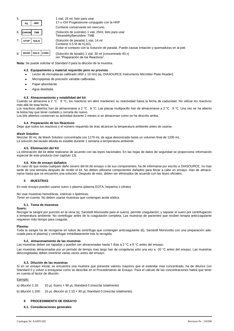| 5. | <b>HRP</b><br>Ag                   | 1 vial, 25 ml, listo para usar<br>$17 - \alpha$ -OH Progesterone conjugado con la HRP          |
|----|------------------------------------|------------------------------------------------------------------------------------------------|
|    |                                    | Contiene conservante sin mercurio.                                                             |
| 6. | <b>CHROM</b><br><b>TMB</b>         | (Solución de sustrato) 1 vial, 25ml, listo para usar<br>Tétraméthylbenzidine :TMB              |
|    | <b>SOLN</b><br><b>STOP</b>         | (Solución de parada) 1 vial, 14 ml<br>Contiene 0.5 M de $H_2SO_4$                              |
|    |                                    | Evitar el contacto con la Solución de parada. Puede causar irritación y quemaduras en al piel. |
| 8. | WASH<br><b>CONC</b><br><b>SOLN</b> | (Solución de lavado) 1 vial, 30 ml (concentrado 40 x)<br>ver "Preparación de los Reactivos".   |

**Nota:** Se puede solicitar el *Standard 0* para la dilución de la muestra.

#### **4.2. Equipamiento y material requerido pero no provisto**

- Lector de microplacas calibrado (450 ± 10 nm) (ej. DIASOURCE Instruments Microtiter Plate Reader).
- Micropipetas de precisión variable calibradas.
- Papel absorbente.
- Agua destilada.

#### **4.3. Almacenamiento y estabilidad del kit**

Cuando se almacena a 2 °C 8 °C, los reactivos sin abrir mantienen su reactividad hasta la fecha de caducidad. No utilizar los reactivos más allá de esta fecha.

Los reactivos abiertos han de almacenarse a 2 °C 8 °C. Las placas multipocillo han de almacenarse a 2 °C 8 °C. Una vez se ha abierto la bolsa hay que tener cuidado y cerrarla de nuevo.

Los kits abiertos conservan su actividad durante 2 meses si se almacenan como se ha descrito arriba.

#### **4.4. Preparación de los Reactivos**

Dejar que todos los reactivos y el número requerido de tiras alcancen la temperatura ambiente antes de usarse.

#### *Wash Solution*

Mezclar 30 mL de Wash Solution concentrada con 1170 mL de agua desionizada hasta un volumen final de 1200 mL.

La solución del lavado diluida es estable durante 1 semana a temperatura ambiente.

#### **4.5. Eliminación del Kit**

La eliminación del kit debe realizarse de acuerdo con las leyes nacionales. En las hojas de datos de seguridad se proporciona información especial de este producto (ver capítulo 13).

#### **4.6. Kits de ensayo dañados**

En caso de que exista cualquier daño severo del kit de ensayo o de sus componentes, ha de informarse por escrito a DIASOURCE, no mas tarde de una semana después de recibir el kit. No deben utilizarse componentes dañados para llevar a cabo un ensayo. Han de almacenarse hasta que se encuentre una solución. Después de esto, deben ser eliminados de acuerdo con las leyes oficiales.

#### **5 MUESTRAS**

En este ensayo pueden usarse suero o plasma (plasma EDTA, heparina o citrato).

No usar muestras hemolíticas, ictéricas o lipémicas.

*Tener en cuenta:* No deben usarse muestras que contengan acida sódica.

#### **5.1. Toma de muestras**

# **Suero:**

Recoger la sangre por punción en la vena (ej. Sarstedt Monovette para el suero), permitir coagulación, y separar el suero por centrifugación a temperatura ambiente. No centrifugar antes de la coagulación completa. Las muestras de pacientes que reciben terapia anticoagulante requieren más tiempo para coagular.

#### **Plasma:**

Toda la sangre ha de recogerse en tubos de centrífuga que contengan anticoagulante (Ej. Sarstedt Monovette con una preparación adecuada para el plasma) y centrifugar inmediatamente tras la recogida.

#### **5.2. Almacenamiento de las muestras**

Las muestras deben ser tapadas y pueden ser almacenadas hasta 7 días a 2 °C a 8 °C antes del ensayo.

Las muestras almacenadas por un período de tiempo mas largo han de congelarse sólo una vez a -20 °C antes del ensayo. Las muestras descongeladas deben invertirse varias veces antes del ensayo.

#### **5.3. Dilución de las muestras**

Si en un ensayo inicial, se encuentra una muestra que presenta valores mayores que el estándar mas concentrado, ha de diluirse con Standard 0 y volver a ensayarse como se describe en el Procedimiento de Ensayo. Para el cálculo de las concentraciones habrá que tener en cuenta el factor de dilución.

#### Ejemplo:

a) dilución 1:10: 10 µL Suero + 90 µL Standard 0 (mezclar totalmente)

b) dilución 1:100: 10 µL dilución a) 1:10 + 90 µL Standard 0 (mezclar totalmente).

#### **6 PROCEDIMIENTO DE ENSAYO**

### **6.1. Consideraciones generales**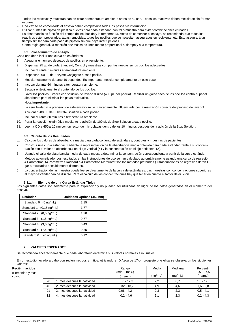- − Todos los reactivos y muestras han de estar a temperatura ambiente antes de su uso. Todos los reactivos deben mezclarse sin formar espuma.
- Una vez se ha comenzado el ensayo deben completarse todos los pasos sin interrupción.
- − Utilizar puntas de pipeta de plástico nuevas para cada estándar, control o muestra para evitar combinaciones cruzadas.

− La absorbancia es función del tiempo de incubación y la temperatura. Antes de comenzar el ensayo, se recomienda que todos los reactivos estén preparados, tapas removidas, todos los pocillos que se necesiten asegurados en recipiente, etc. Esto asegurará un tiempo similar para cada paso de pipeteo sin que haya interrupciones.

− Como regla general, la reacción enzimática es linealmente proporcional al tiempo y a la temperatura.

#### **6.2. Procedimiento de ensayo**

Cada uno debe incluir una curva de estándares.

- 1. Asegurar el número deseado de pocillos en el recipiente.
- 2. Dispensar 25 µL de cada Standard, Control y muestras con puntas nuevas en los pocillos adecuados.
- 3. Incubar durante 5 minutes a temperatura ambiente
- 4. Dispensar 200 µL de Enzyme Conjugate a cada pocillo.
- 5. Mezclar totalmente durante 10 segundos. Es importante mezclar completamente en este paso.
- 6. Incubar durante 60 minutes a temperatura ambiente.
- 7. Sacudir enérgicamente el contenido de los pocillos.

Lavar los pocillos 3 veces con solución de lavado diluida (400 µL por pocillo). Realizar un golpe seco de los pocillos contra el papel absorbente para eliminar las gotas residuales.

# **Nota importante:**

La sensibilidad y la precisión de este ensayo se ve marcadamente influenciada por la realización correcta del proceso de lavado!

- 8. Adicionar 200 µL de Substrate Solution a cada pocillo.
- 9. Incubar durante 30 minutes a temperatura ambiente.
- 10. Parar la reacción enzimática mediante la adición de 100 µL de Stop Solution a cada pocillo.
- 11. Leer la OD a 450 ± 10 nm con un lector de microplacas dentro de los 10 minutos después de la adición de la Stop Solution.

# **6.3. Cálculo de los Resultados**

- 1. Calcular los valores de absorbancia media para cada conjunto de estándares, controles y muestras de pacientes.
- 2. Construir una curva estándar mediante la representación de la absorbancia media obtenida para cada estándar frente a su concentración con el valor de absorbancia en el eje vertical (Y) y la concentración en el eje horizontal (X).
- 3. Usando el valor de absorbancia media de cada muestra determinar la concentración correspondiente a partir de la curva estándar.
- 4. Método automatizado: Los resultados en las instrucciones de uso se han calculado automáticamente usando una curva de regresión 4 Parámetros. (4 Parámetros Rodbard o 4 Parámetros Marquardt son los métodos preferidos.) Otras funciones de regresión darán lugar a resultados sensiblemente diferentes.
- 5. La concentración de las muestra puede leerse directamente de la curva de estándares. Las muestras con concentraciones superiores al mayor estándar han de diluirse. Para el cálculo de las concentraciones hay que tener en cuenta el factor de dilución.

#### **6.3.1. Ejemplo de una Curva Estándar Típica**

Los siguientes datos son solamente para la explicación y no pueden ser utilizados en lugar de los datos generados en el momento del ensayo.

| Estándar                | Unidades Ópticas (450 nm) |
|-------------------------|---------------------------|
| Standard 0 (0 ng/mL)    | 2,15                      |
| Standard 1 (0,15 ng/mL) | 1,77                      |
| Standard 2 (0,5 ng/mL)  | 1,28                      |
| Standard 3 (1,5 ng/mL)  | 0,77                      |
| Standard 4 (3,0 ng/mL)  | 0.49                      |
| Standard 5 (7,5 ng/mL)  | 0.25                      |
| Standard 6 (20 ng/mL)   | 0.12                      |

# **7 VALORES ESPERADOS**

Se recomienda encarecidamente que cada laboratorio determine sus valores normales e inusuales.

En un estudio llevado a cabo con recién nacidos y niños, utilizando el DIAsource 17-oh progesterone elisa se observaron los siguientes valores:

| Recién nacidos<br>(Femenino y mas-<br>culino) | n  |                             | Rango<br>$(min - max.)$<br>(nq/mL) | Media<br>(nq/mL) | Mediana<br>(nq/mL) | Percentil<br>$2.5 - 97.5$<br>(ng/mL) |
|-----------------------------------------------|----|-----------------------------|------------------------------------|------------------|--------------------|--------------------------------------|
|                                               | 26 | . mes después la natividad  | $0 - 17.3$                         | 7.2              | 6,7                | $1,0 - 17,0$                         |
|                                               | 43 | 2. mes después la natividad | $0.32 - 13.7$                      | 4,9              | 4,6                | $1,6 - 9,8$                          |
|                                               | 21 | 3. mes después la natividad | $0.06 - 4.2$                       | 2,3              | 2,3                | $0.5 - 4.1$                          |
|                                               | 12 | 4. mes después la natividad | $0.2 - 4.6$                        | 2,1              | 2,3                | $0.2 - 4.3$                          |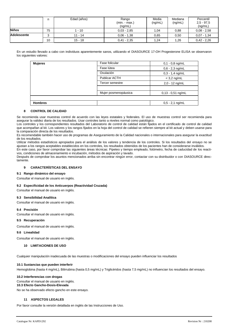|                    | n  | Edad (años) | Rango<br>$(min - max.)$<br>(nq/mL) | Media<br>(nq/mL) | Mediana<br>(nq/mL) | Percentil<br>$2.5 - 97.5$<br>(nq/mL) |
|--------------------|----|-------------|------------------------------------|------------------|--------------------|--------------------------------------|
| <b>Niños</b>       | 75 | $-10$       | $0.03 - 2.85$                      | 1,04             | 0,88               | $0.08 - 2.58$                        |
| <b>Adolescente</b> | ົ  | $11 - 14$   | $0.06 - 1.38$                      | 0.65             | 0,50               | $0.07 - 1.34$                        |
|                    | 10 | $15 - 18$   | $0,41 - 2,35$                      | 1,24             | 1,26               | $0,42 - 2,26$                        |

En un estudio llevado a cabo con individuos aparentemente sanos, utilizando el DIASOURCE 17-OH Progesterone ELISA se observaron los siguientes valores:

| <b>Mujeres</b> | Fase folicular       | $0,1 - 0,8$ ng/mL   |
|----------------|----------------------|---------------------|
|                | Fase lútea           | $0,6 - 2,3$ ng/mL   |
|                | Ovulación            | $0,3 - 1,4$ ng/mL   |
|                | <b>Publicar ACTH</b> | $<$ 3,2 ng/mL       |
|                | Tercer semestre      | 2,0 - 12 ng/mL      |
|                |                      |                     |
|                | Mujer posmenopáusica | $0,13 - 0,51$ ng/mL |
|                |                      |                     |
| <b>Hombres</b> |                      | $0,5 - 2,1$ ng/mL   |

# **8 CONTROL DE CALIDAD**

Se recomienda usar muestras control de acuerdo con las leyes estatales y federales. El uso de muestras control ser recomienda para asegurar la validez diaria de los resultados. Usar controles tanto a niveles normal como patológico.

Los controles y los correspondientes resultados del Laboratorio de control de calidad están fijados en el certificado de control de calidad que acompañan al kit. Los valores y los rangos fijados en la hoja del control de calidad se refieren siempre al kit actual y deben usarse para la comparación directa de los resultados.

Es recomendable también hacer uso de programas de Aseguramiento de la Calidad nacionales o internacionales para asegurar la exactitud de los resultados.

Utilizar métodos estadísticos apropiados para el análisis de los valores y tendencia de los controles. Si los resultados del ensayo no se ajustan a los rangos aceptables establecidos en los controles, los resultados obtenidos de los pacientes han de considerarse inválidos. En este caso, por favor comprobar las siguientes áreas técnicas: Pipeteo y tiempo empleado, fotómetro, fecha de caducidad de los reacti-

vos, condiciones de almacenamiento e incubación, métodos de aspiración y lavado.

Después de comprobar los asuntos mencionados arriba sin encontrar ningún error, contactar con su distribuidor o con DIASOURCE directamente.

# **9 CARACTERÍSTICAS DEL ENSAYO**

# **9.1 Rango dinámico del ensayo**

Consultar el manual de usuario en inglés.

#### **9.2 Especificidad de los Anticuerpos (Reactividad Cruzada)**

Consultar el manual de usuario en inglés.

# **9.3 Sensibilidad Analítica**

Consultar el manual de usuario en inglés.

#### **9.4 Precisión**

Consultar el manual de usuario en inglés.

#### **9.5 Recuperación**

Consultar el manual de usuario en inglés.

#### **9.6 Linealidad**

Consultar el manual de usuario en inglés.

#### **10 LIMITACIONES DE USO**

Cualquier manipulación inadecuada de las muestras o modificaciones del ensayo pueden influenciar los resultados

# **10.1 Sustancias que pueden interferir**

Hemoglobina (hasta 4 mg/mL), Bilirrubina (hasta 0,5 mg/mL) y Triglicéridos (hasta 7,5 mg/mL) no influencian los resultados del ensayo.

## **10.2 Interferencias con drogas**

# Consultar el manual de usuario en inglés.

**10.3 Efecto Gancho-Dosis-Elevada** 

No se ha observado efecto gancho en este ensayo.

# **11 ASPECTOS LEGALES**

Por favor consulte la versión detallada en inglés de las Instrucciones de Uso.